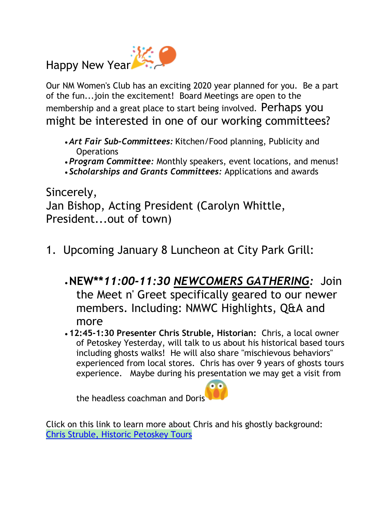Happy New Year

Our NM Women's Club has an exciting 2020 year planned for you. Be a part of the fun...join the excitement! Board Meetings are open to the membership and a great place to start being involved. Perhaps you might be interested in one of our working committees?

- *Art Fair Sub-Committees:* Kitchen/Food planning, Publicity and **Operations**
- *Program Committee:* Monthly speakers, event locations, and menus!
- *Scholarships and Grants Committees:* Applications and awards

Sincerely, Jan Bishop, Acting President (Carolyn Whittle, President...out of town)

- 1. Upcoming January 8 Luncheon at City Park Grill:
	- •**NEW\*\****11:00-11:30 NEWCOMERS GATHERING:* Join the Meet n' Greet specifically geared to our newer members. Including: NMWC Highlights, Q&A and more
	- **12:45-1:30 Presenter Chris Struble, Historian:** Chris, a local owner of Petoskey Yesterday, will talk to us about his historical based tours including ghosts walks! He will also share "mischievous behaviors" experienced from local stores. Chris has over 9 years of ghosts tours experience. Maybe during his presentation we may get a visit from

the headless coachman and Doris

Click on this link to learn more about Chris and his ghostly background: [Chris Struble, Historic Petoskey Tours](https://www.petoskeyyesterday.com/about/)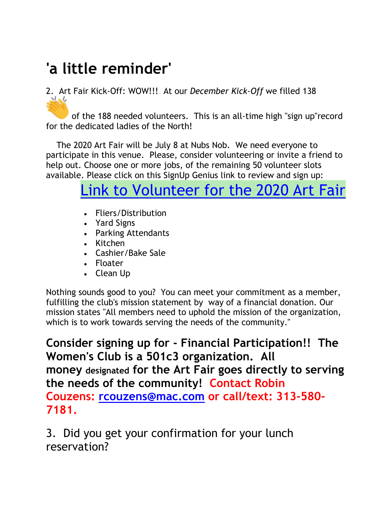## **'a little reminder'**

## 2. Art Fair Kick-Off: WOW!!! At our *December Kick-Off* we filled 138

of the 188 needed volunteers. This is an all-time high "sign up"record for the dedicated ladies of the North!

The 2020 Art Fair will be July 8 at Nubs Nob. We need everyone to participate in this venue. Please, consider volunteering or invite a friend to help out. Choose one or more jobs, of the remaining 50 volunteer slots available. Please click on this SignUp Genius link to review and sign up:

## Link to Volunteer for the 2020 Art Fair

- Fliers/Distribution
- Yard Signs
- Parking Attendants
- Kitchen
- Cashier/Bake Sale
- Floater
- Clean Up

Nothing sounds good to you? You can meet your commitment as a member, fulfilling the club's mission statement by way of a financial donation. Our mission states "All members need to uphold the mission of the organization, which is to work towards serving the needs of the community."

**Consider signing up for - Financial Participation!! The Women's Club is a 501c3 organization. All money designated for the Art Fair goes directly to serving the needs of the community! Contact Robin Couzens: rcouzens@mac.com or call/text: 313-580- 7181.**

3. Did you get your confirmation for your lunch reservation?